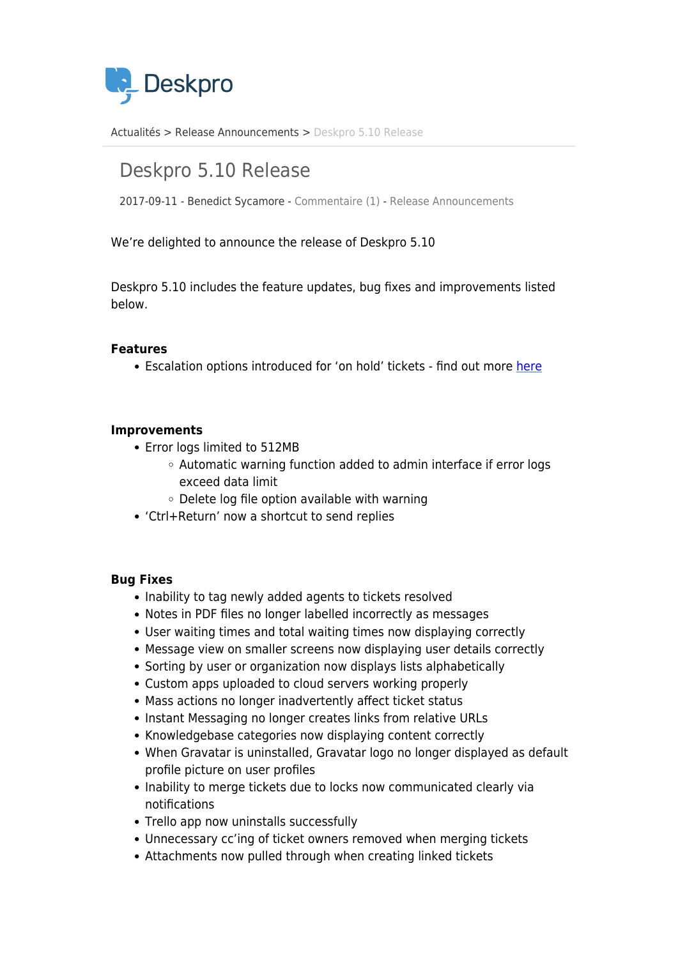

[Actualités](https://support.deskpro.com/fr/news) > [Release Announcements](https://support.deskpro.com/fr/news/release-announcements) > [Deskpro 5.10 Release](https://support.deskpro.com/fr/news/posts/deskpro-5-10-release)

# Deskpro 5.10 Release

2017-09-11 - Benedict Sycamore - [Commentaire \(1\)](#page--1-0) - [Release Announcements](https://support.deskpro.com/fr/news/release-announcements)

We're delighted to announce the release of Deskpro 5.10

Deskpro 5.10 includes the feature updates, bug fixes and improvements listed below.

### **Features**

• Escalation options introduced for 'on hold' tickets - find out more [here](https://support.deskpro.com/en/news/posts/on-hold-escalation-event-added-deskpro-release-5-10)

#### **Improvements**

- Error logs limited to 512MB
	- Automatic warning function added to admin interface if error logs exceed data limit
	- Delete log file option available with warning
- 'Ctrl+Return' now a shortcut to send replies

#### **Bug Fixes**

- Inability to tag newly added agents to tickets resolved
- Notes in PDF files no longer labelled incorrectly as messages
- User waiting times and total waiting times now displaying correctly
- Message view on smaller screens now displaying user details correctly
- Sorting by user or organization now displays lists alphabetically
- Custom apps uploaded to cloud servers working properly
- Mass actions no longer inadvertently affect ticket status
- Instant Messaging no longer creates links from relative URLs
- Knowledgebase categories now displaying content correctly
- When Gravatar is uninstalled, Gravatar logo no longer displayed as default profile picture on user profiles
- Inability to merge tickets due to locks now communicated clearly via notifications
- Trello app now uninstalls successfully
- Unnecessary cc'ing of ticket owners removed when merging tickets
- Attachments now pulled through when creating linked tickets